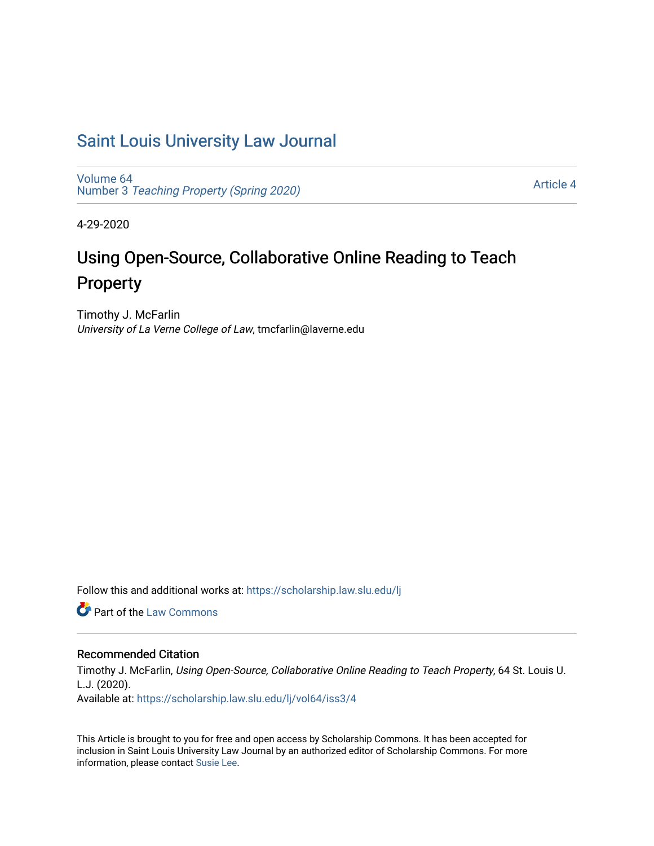## [Saint Louis University Law Journal](https://scholarship.law.slu.edu/lj)

[Volume 64](https://scholarship.law.slu.edu/lj/vol64) Number 3 [Teaching Property \(Spring 2020\)](https://scholarship.law.slu.edu/lj/vol64/iss3) 

[Article 4](https://scholarship.law.slu.edu/lj/vol64/iss3/4) 

4-29-2020

# Using Open-Source, Collaborative Online Reading to Teach Property

Timothy J. McFarlin University of La Verne College of Law, tmcfarlin@laverne.edu

Follow this and additional works at: [https://scholarship.law.slu.edu/lj](https://scholarship.law.slu.edu/lj?utm_source=scholarship.law.slu.edu%2Flj%2Fvol64%2Fiss3%2F4&utm_medium=PDF&utm_campaign=PDFCoverPages) 

**C** Part of the [Law Commons](http://network.bepress.com/hgg/discipline/578?utm_source=scholarship.law.slu.edu%2Flj%2Fvol64%2Fiss3%2F4&utm_medium=PDF&utm_campaign=PDFCoverPages)

## Recommended Citation

Timothy J. McFarlin, Using Open-Source, Collaborative Online Reading to Teach Property, 64 St. Louis U. L.J. (2020).

Available at: [https://scholarship.law.slu.edu/lj/vol64/iss3/4](https://scholarship.law.slu.edu/lj/vol64/iss3/4?utm_source=scholarship.law.slu.edu%2Flj%2Fvol64%2Fiss3%2F4&utm_medium=PDF&utm_campaign=PDFCoverPages) 

This Article is brought to you for free and open access by Scholarship Commons. It has been accepted for inclusion in Saint Louis University Law Journal by an authorized editor of Scholarship Commons. For more information, please contact [Susie Lee](mailto:susie.lee@slu.edu).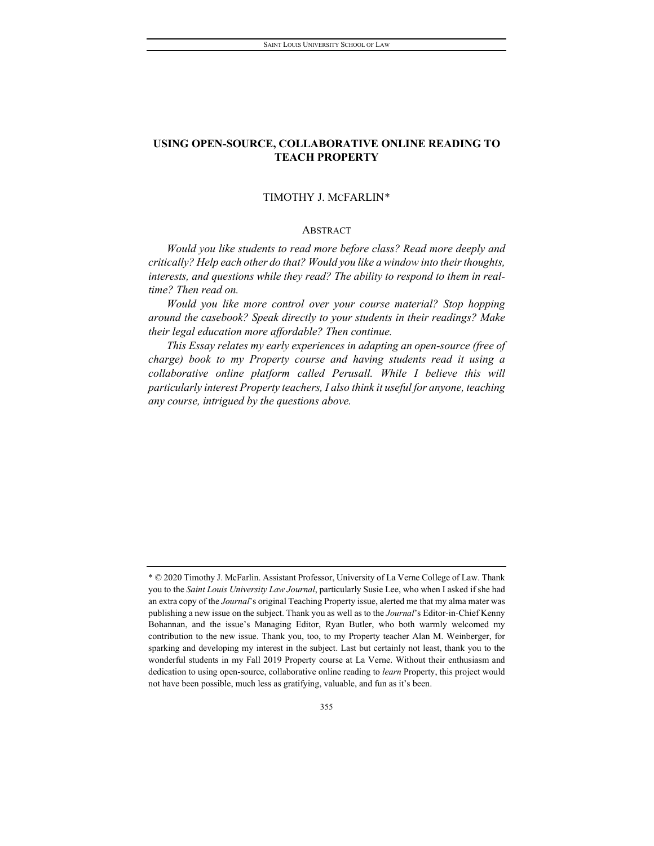#### TIMOTHY J. MCFARLIN[\\*](#page-1-0)

#### ABSTRACT

*Would you like students to read more before class? Read more deeply and critically? Help each other do that? Would you like a window into their thoughts, interests, and questions while they read? The ability to respond to them in realtime? Then read on.*

*Would you like more control over your course material? Stop hopping around the casebook? Speak directly to your students in their readings? Make their legal education more affordable? Then continue.*

*This Essay relates my early experiences in adapting an open-source (free of charge) book to my Property course and having students read it using a collaborative online platform called Perusall. While I believe this will particularly interest Property teachers, I also think it useful for anyone, teaching any course, intrigued by the questions above.* 

<span id="page-1-0"></span><sup>\*</sup> © 2020 Timothy J. McFarlin. Assistant Professor, University of La Verne College of Law. Thank you to the *Saint Louis University Law Journal*, particularly Susie Lee, who when I asked if she had an extra copy of the *Journal*'s original Teaching Property issue, alerted me that my alma mater was publishing a new issue on the subject. Thank you as well as to the *Journal*'s Editor-in-Chief Kenny Bohannan, and the issue's Managing Editor, Ryan Butler, who both warmly welcomed my contribution to the new issue. Thank you, too, to my Property teacher Alan M. Weinberger, for sparking and developing my interest in the subject. Last but certainly not least, thank you to the wonderful students in my Fall 2019 Property course at La Verne. Without their enthusiasm and dedication to using open-source, collaborative online reading to *learn* Property, this project would not have been possible, much less as gratifying, valuable, and fun as it's been.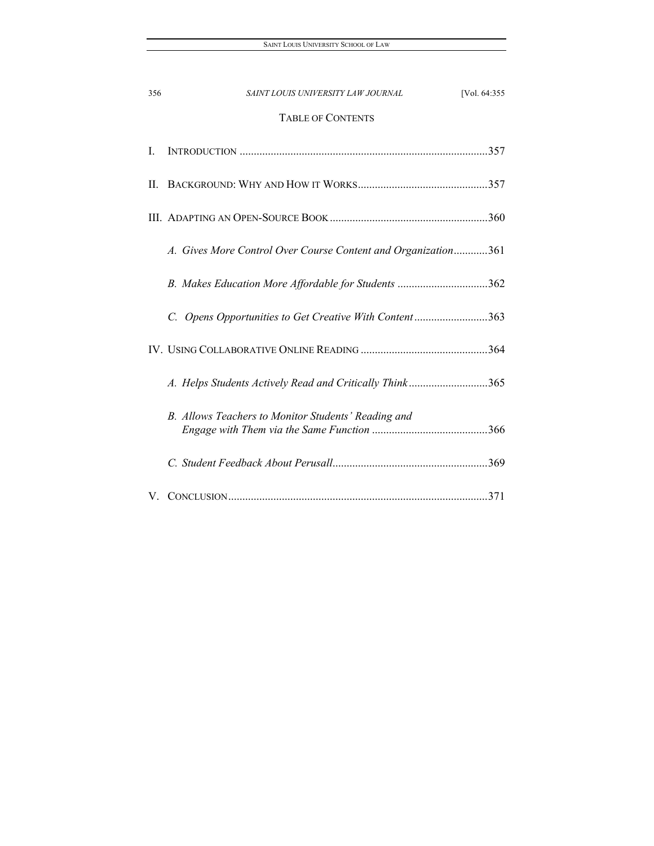| 356 | [Vol. 64:355<br>SAINT LOUIS UNIVERSITY LAW JOURNAL            |
|-----|---------------------------------------------------------------|
|     | <b>TABLE OF CONTENTS</b>                                      |
| Ι.  |                                                               |
| H.  |                                                               |
|     |                                                               |
|     | A. Gives More Control Over Course Content and Organization361 |
|     | B. Makes Education More Affordable for Students 362           |
|     | C. Opens Opportunities to Get Creative With Content363        |
|     |                                                               |
|     | A. Helps Students Actively Read and Critically Think365       |
|     | B. Allows Teachers to Monitor Students' Reading and           |
|     |                                                               |
| V.  |                                                               |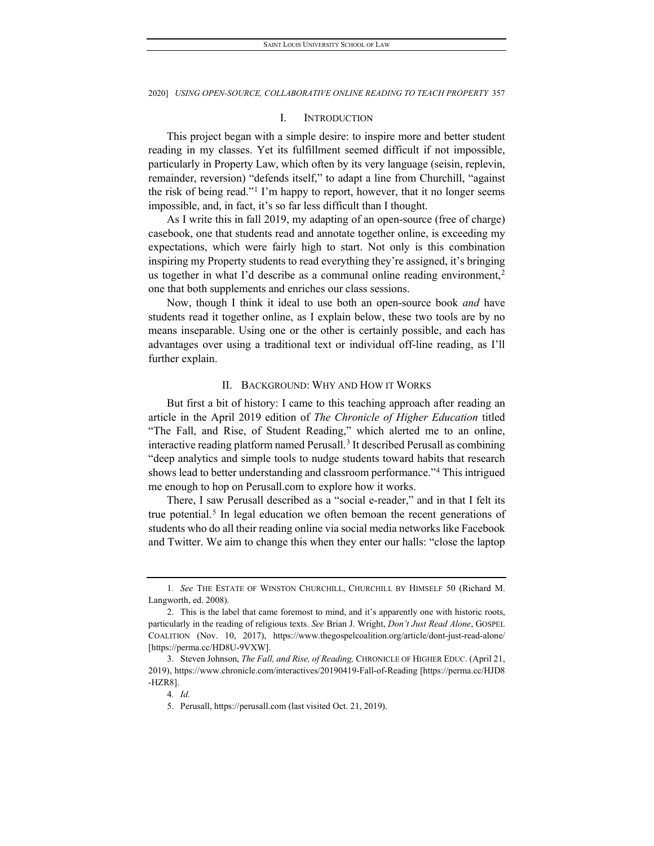#### I. INTRODUCTION

<span id="page-3-0"></span>This project began with a simple desire: to inspire more and better student reading in my classes. Yet its fulfillment seemed difficult if not impossible, particularly in Property Law, which often by its very language (seisin, replevin, remainder, reversion) "defends itself," to adapt a line from Churchill, "against the risk of being read."[1](#page-3-2) I'm happy to report, however, that it no longer seems impossible, and, in fact, it's so far less difficult than I thought.

As I write this in fall 2019, my adapting of an open-source (free of charge) casebook, one that students read and annotate together online, is exceeding my expectations, which were fairly high to start. Not only is this combination inspiring my Property students to read everything they're assigned, it's bringing us together in what I'd describe as a communal online reading environment,<sup>2</sup> one that both supplements and enriches our class sessions.

Now, though I think it ideal to use both an open-source book *and* have students read it together online, as I explain below, these two tools are by no means inseparable. Using one or the other is certainly possible, and each has advantages over using a traditional text or individual off-line reading, as I'll further explain.

#### II. BACKGROUND: WHY AND HOW IT WORKS

<span id="page-3-1"></span>But first a bit of history: I came to this teaching approach after reading an article in the April 2019 edition of *The Chronicle of Higher Education* titled "The Fall, and Rise, of Student Reading," which alerted me to an online, interactive reading platform named Perusall[.3](#page-3-4) It described Perusall as combining "deep analytics and simple tools to nudge students toward habits that research shows lead to better understanding and classroom performance.["4](#page-3-5) This intrigued me enough to hop on Perusall.com to explore how it works.

There, I saw Perusall described as a "social e-reader," and in that I felt its true potential.<sup>[5](#page-3-6)</sup> In legal education we often bemoan the recent generations of students who do all their reading online via social media networks like Facebook and Twitter. We aim to change this when they enter our halls: "close the laptop

<span id="page-3-2"></span><sup>1</sup>*. See* THE ESTATE OF WINSTON CHURCHILL, CHURCHILL BY HIMSELF 50 (Richard M. Langworth, ed. 2008).

<span id="page-3-3"></span><sup>2.</sup> This is the label that came foremost to mind, and it's apparently one with historic roots, particularly in the reading of religious texts. *See* Brian J. Wright, *Don't Just Read Alone*, GOSPEL COALITION (Nov. 10, 2017), https://www.thegospelcoalition.org/article/dont-just-read-alone/ [https://perma.cc/HD8U-9VXW].

<span id="page-3-6"></span><span id="page-3-5"></span><span id="page-3-4"></span><sup>3.</sup> Steven Johnson, *The Fall, and Rise, of Reading,* CHRONICLE OF HIGHER EDUC. (April 21, 2019), https://www.chronicle.com/interactives/20190419-Fall-of-Reading [https://perma.cc/HJD8 -HZR8].

<sup>4</sup>*. Id.*

<sup>5.</sup> Perusall, https://perusall.com (last visited Oct. 21, 2019).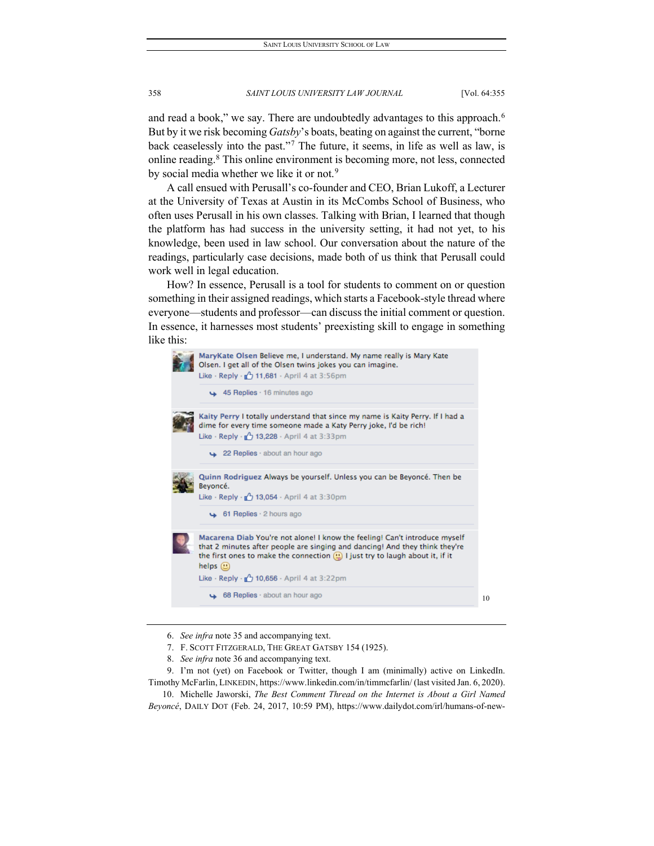and read a book," we say. There are undoubtedly advantages to this approach.<sup>6</sup> But by it we risk becoming *Gatsby*'s boats, beating on against the current, "borne back ceaselessly into the past."[7](#page-4-1) The future, it seems, in life as well as law, is online reading.[8](#page-4-2) This online environment is becoming more, not less, connected by social media whether we like it or not.<sup>[9](#page-4-3)</sup>

A call ensued with Perusall's co-founder and CEO, Brian Lukoff, a Lecturer at the University of Texas at Austin in its McCombs School of Business, who often uses Perusall in his own classes. Talking with Brian, I learned that though the platform has had success in the university setting, it had not yet, to his knowledge, been used in law school. Our conversation about the nature of the readings, particularly case decisions, made both of us think that Perusall could work well in legal education.

How? In essence, Perusall is a tool for students to comment on or question something in their assigned readings, which starts a Facebook-style thread where everyone—students and professor—can discuss the initial comment or question. In essence, it harnesses most students' preexisting skill to engage in something like this:



- 6. *See infra* note 35 and accompanying text.
- 7. F. SCOTT FITZGERALD, THE GREAT GATSBY 154 (1925).
- 8. *See infra* note 36 and accompanying text.

<span id="page-4-3"></span><span id="page-4-2"></span><span id="page-4-1"></span><span id="page-4-0"></span>9. I'm not (yet) on Facebook or Twitter, though I am (minimally) active on LinkedIn. Timothy McFarlin, LINKEDIN, https://www.linkedin.com/in/timmcfarlin/ (last visited Jan. 6, 2020).

<span id="page-4-4"></span>10. Michelle Jaworski, *The Best Comment Thread on the Internet is About a Girl Named Beyoncé*, DAILY DOT (Feb. 24, 2017, 10:59 PM), https://www.dailydot.com/irl/humans-of-new-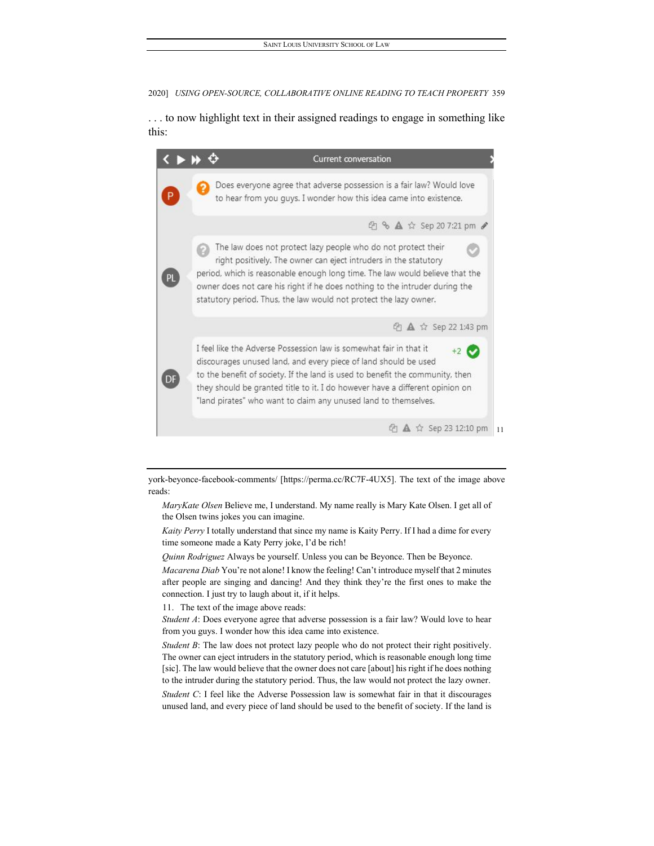. . . to now highlight text in their assigned readings to engage in something like this:



york-beyonce-facebook-comments/ [https://perma.cc/RC7F-4UX5]. The text of the image above reads:

*MaryKate Olsen* Believe me, I understand. My name really is Mary Kate Olsen. I get all of the Olsen twins jokes you can imagine.

*Kaity Perry* I totally understand that since my name is Kaity Perry. If I had a dime for every time someone made a Katy Perry joke, I'd be rich!

*Quinn Rodriguez* Always be yourself. Unless you can be Beyonce. Then be Beyonce.

*Macarena Diab* You're not alone! I know the feeling! Can't introduce myself that 2 minutes after people are singing and dancing! And they think they're the first ones to make the connection. I just try to laugh about it, if it helps.

11. The text of the image above reads:

<span id="page-5-0"></span>*Student A*: Does everyone agree that adverse possession is a fair law? Would love to hear from you guys. I wonder how this idea came into existence.

*Student B*: The law does not protect lazy people who do not protect their right positively. The owner can eject intruders in the statutory period, which is reasonable enough long time [sic]. The law would believe that the owner does not care [about] his right if he does nothing to the intruder during the statutory period. Thus, the law would not protect the lazy owner.

*Student C*: I feel like the Adverse Possession law is somewhat fair in that it discourages unused land, and every piece of land should be used to the benefit of society. If the land is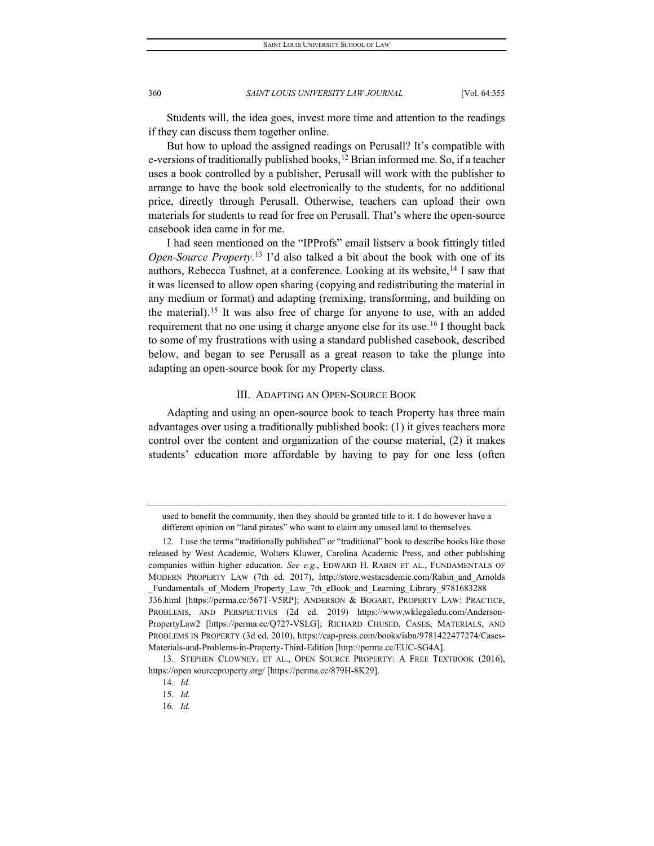Students will, the idea goes, invest more time and attention to the readings if they can discuss them together online.

But how to upload the assigned readings on Perusall? It's compatible with e-versions of traditionally published books,<sup>12</sup> Brian informed me. So, if a teacher uses a book controlled by a publisher, Perusall will work with the publisher to arrange to have the book sold electronically to the students, for no additional price, directly through Perusall. Otherwise, teachers can upload their own materials for students to read for free on Perusall. That's where the open-source casebook idea came in for me.

I had seen mentioned on the "IPProfs" email listserv a book fittingly titled *Open-Source Property*. [13](#page-6-2) I'd also talked a bit about the book with one of its authors, Rebecca Tushnet, at a conference. Looking at its website,<sup>[14](#page-6-3)</sup> I saw that it was licensed to allow open sharing (copying and redistributing the material in any medium or format) and adapting (remixing, transforming, and building on the material).[15](#page-6-4) It was also free of charge for anyone to use, with an added requirement that no one using it charge anyone else for its use.<sup>[16](#page-6-5)</sup> I thought back to some of my frustrations with using a standard published casebook, described below, and began to see Perusall as a great reason to take the plunge into adapting an open-source book for my Property class.

#### III. ADAPTING AN OPEN-SOURCE BOOK

<span id="page-6-0"></span>Adapting and using an open-source book to teach Property has three main advantages over using a traditionally published book: (1) it gives teachers more control over the content and organization of the course material, (2) it makes students' education more affordable by having to pay for one less (often

used to benefit the community, then they should be granted title to it. I do however have a different opinion on "land pirates" who want to claim any unused land to themselves.

<span id="page-6-1"></span><sup>12.</sup> I use the terms "traditionally published" or "traditional" book to describe books like those released by West Academic, Wolters Kluwer, Carolina Academic Press, and other publishing companies within higher education. *See e.g.*, EDWARD H. RABIN ET AL., FUNDAMENTALS OF MODERN PROPERTY LAW (7th ed. 2017), http://store.westacademic.com/Rabin\_and\_Arnolds Fundamentals of Modern Property Law 7th eBook and Learning Library 9781683288 336.html [https://perma.cc/567T-V5RP]; ANDERSON & BOGART, PROPERTY LAW: PRACTICE, PROBLEMS, AND PERSPECTIVES (2d ed. 2019) https://www.wklegaledu.com/Anderson-PropertyLaw2 [https://perma.cc/Q727-VSLG]; RICHARD CHUSED, CASES, MATERIALS, AND PROBLEMS IN PROPERTY (3d ed. 2010), https://cap-press.com/books/isbn/9781422477274/Cases-Materials-and-Problems-in-Property-Third-Edition [http://perma.cc/EUC-SG4A].

<span id="page-6-5"></span><span id="page-6-4"></span><span id="page-6-3"></span><span id="page-6-2"></span><sup>13.</sup> STEPHEN CLOWNEY, ET AL., OPEN SOURCE PROPERTY: A FREE TEXTBOOK (2016), https://open sourceproperty.org/ [https://perma.cc/879H-8K29].

<sup>14.</sup> *Id.*

<sup>15</sup>*. Id.*

<sup>16</sup>*. Id.*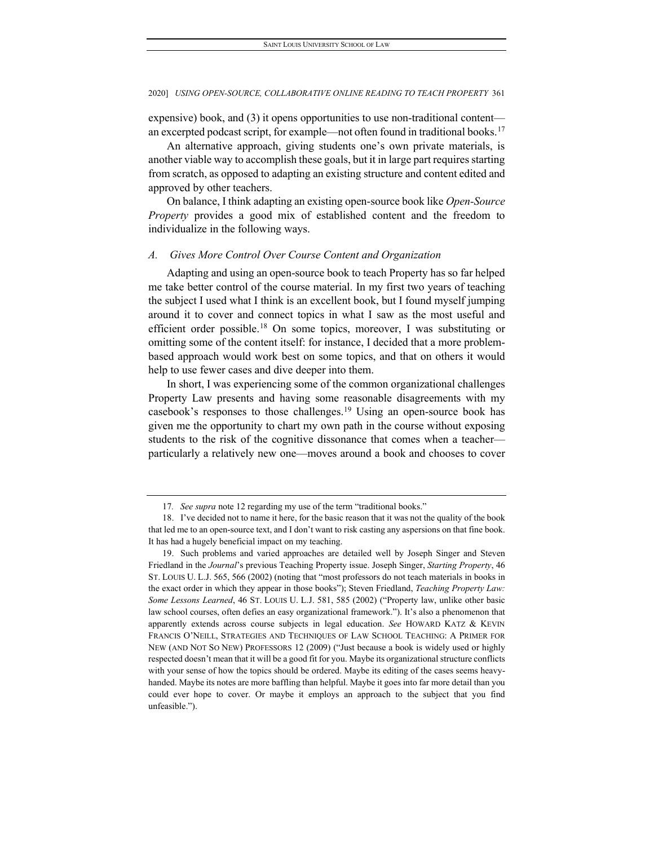expensive) book, and (3) it opens opportunities to use non-traditional content— an excerpted podcast script, for example—not often found in traditional books.<sup>[17](#page-7-1)</sup>

An alternative approach, giving students one's own private materials, is another viable way to accomplish these goals, but it in large part requires starting from scratch, as opposed to adapting an existing structure and content edited and approved by other teachers.

On balance, I think adapting an existing open-source book like *Open-Source Property* provides a good mix of established content and the freedom to individualize in the following ways.

#### <span id="page-7-0"></span>*A. Gives More Control Over Course Content and Organization*

Adapting and using an open-source book to teach Property has so far helped me take better control of the course material. In my first two years of teaching the subject I used what I think is an excellent book, but I found myself jumping around it to cover and connect topics in what I saw as the most useful and efficient order possible.<sup>18</sup> On some topics, moreover, I was substituting or omitting some of the content itself: for instance, I decided that a more problembased approach would work best on some topics, and that on others it would help to use fewer cases and dive deeper into them.

In short, I was experiencing some of the common organizational challenges Property Law presents and having some reasonable disagreements with my casebook's responses to those challenges.[19](#page-7-3) Using an open-source book has given me the opportunity to chart my own path in the course without exposing students to the risk of the cognitive dissonance that comes when a teacher particularly a relatively new one—moves around a book and chooses to cover

<sup>17</sup>*. See supra* note 12 regarding my use of the term "traditional books."

<span id="page-7-2"></span><span id="page-7-1"></span><sup>18.</sup> I've decided not to name it here, for the basic reason that it was not the quality of the book that led me to an open-source text, and I don't want to risk casting any aspersions on that fine book. It has had a hugely beneficial impact on my teaching.

<span id="page-7-3"></span><sup>19.</sup> Such problems and varied approaches are detailed well by Joseph Singer and Steven Friedland in the *Journal*'s previous Teaching Property issue. Joseph Singer, *Starting Property*, 46 ST. LOUIS U. L.J. 565, 566 (2002) (noting that "most professors do not teach materials in books in the exact order in which they appear in those books"); Steven Friedland, *Teaching Property Law: Some Lessons Learned*, 46 ST. LOUIS U. L.J. 581, 585 (2002) ("Property law, unlike other basic law school courses, often defies an easy organizational framework."). It's also a phenomenon that apparently extends across course subjects in legal education. *See* HOWARD KATZ & KEVIN FRANCIS O'NEILL, STRATEGIES AND TECHNIQUES OF LAW SCHOOL TEACHING: A PRIMER FOR NEW (AND NOT SO NEW) PROFESSORS 12 (2009) ("Just because a book is widely used or highly respected doesn't mean that it will be a good fit for you. Maybe its organizational structure conflicts with your sense of how the topics should be ordered. Maybe its editing of the cases seems heavyhanded. Maybe its notes are more baffling than helpful. Maybe it goes into far more detail than you could ever hope to cover. Or maybe it employs an approach to the subject that you find unfeasible.").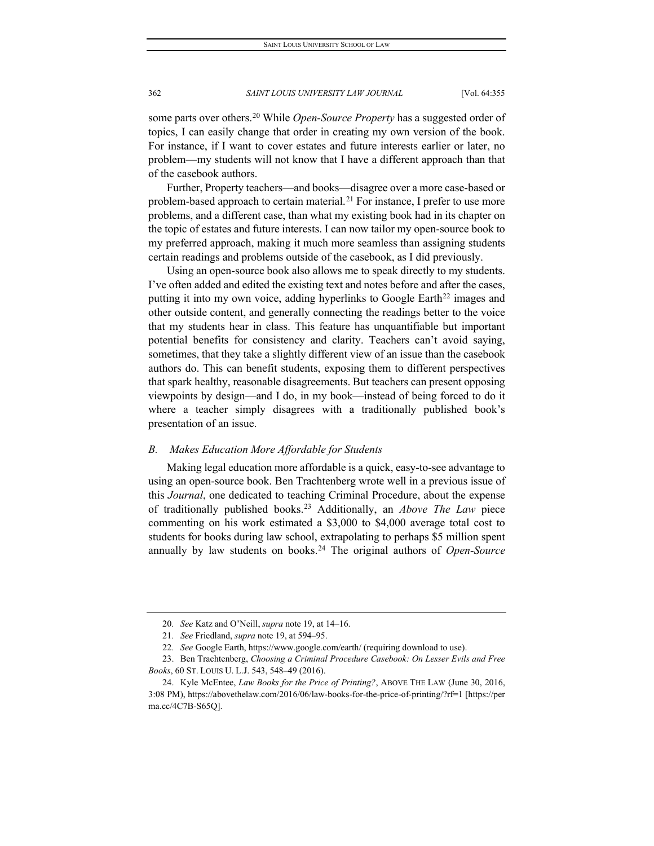some parts over others.[20](#page-8-1) While *Open-Source Property* has a suggested order of topics, I can easily change that order in creating my own version of the book. For instance, if I want to cover estates and future interests earlier or later, no problem—my students will not know that I have a different approach than that of the casebook authors.

Further, Property teachers—and books—disagree over a more case-based or problem-based approach to certain material.<sup>[21](#page-8-2)</sup> For instance, I prefer to use more problems, and a different case, than what my existing book had in its chapter on the topic of estates and future interests. I can now tailor my open-source book to my preferred approach, making it much more seamless than assigning students certain readings and problems outside of the casebook, as I did previously.

Using an open-source book also allows me to speak directly to my students. I've often added and edited the existing text and notes before and after the cases, putting it into my own voice, adding hyperlinks to Google Earth<sup>[22](#page-8-3)</sup> images and other outside content, and generally connecting the readings better to the voice that my students hear in class. This feature has unquantifiable but important potential benefits for consistency and clarity. Teachers can't avoid saying, sometimes, that they take a slightly different view of an issue than the casebook authors do. This can benefit students, exposing them to different perspectives that spark healthy, reasonable disagreements. But teachers can present opposing viewpoints by design—and I do, in my book—instead of being forced to do it where a teacher simply disagrees with a traditionally published book's presentation of an issue.

#### <span id="page-8-0"></span>*B. Makes Education More Affordable for Students*

Making legal education more affordable is a quick, easy-to-see advantage to using an open-source book. Ben Trachtenberg wrote well in a previous issue of this *Journal*, one dedicated to teaching Criminal Procedure, about the expense of traditionally published books.[23](#page-8-4) Additionally, an *Above The Law* piece commenting on his work estimated a \$3,000 to \$4,000 average total cost to students for books during law school, extrapolating to perhaps \$5 million spent annually by law students on books.[24](#page-8-5) The original authors of *Open-Source* 

<sup>20</sup>*. See* Katz and O'Neill, *supra* note 19, at 14–16.

<sup>21</sup>*. See* Friedland, *supra* note 19, at 594–95.

<sup>22</sup>*. See* Google Earth, https://www.google.com/earth/ (requiring download to use).

<span id="page-8-4"></span><span id="page-8-3"></span><span id="page-8-2"></span><span id="page-8-1"></span><sup>23.</sup> Ben Trachtenberg, *Choosing a Criminal Procedure Casebook: On Lesser Evils and Free Books*, 60 ST. LOUIS U. L.J. 543, 548–49 (2016).

<span id="page-8-5"></span><sup>24.</sup> Kyle McEntee, *Law Books for the Price of Printing?*, ABOVE THE LAW (June 30, 2016, 3:08 PM), https://abovethelaw.com/2016/06/law-books-for-the-price-of-printing/?rf=1 [https://per ma.cc/4C7B-S65Q].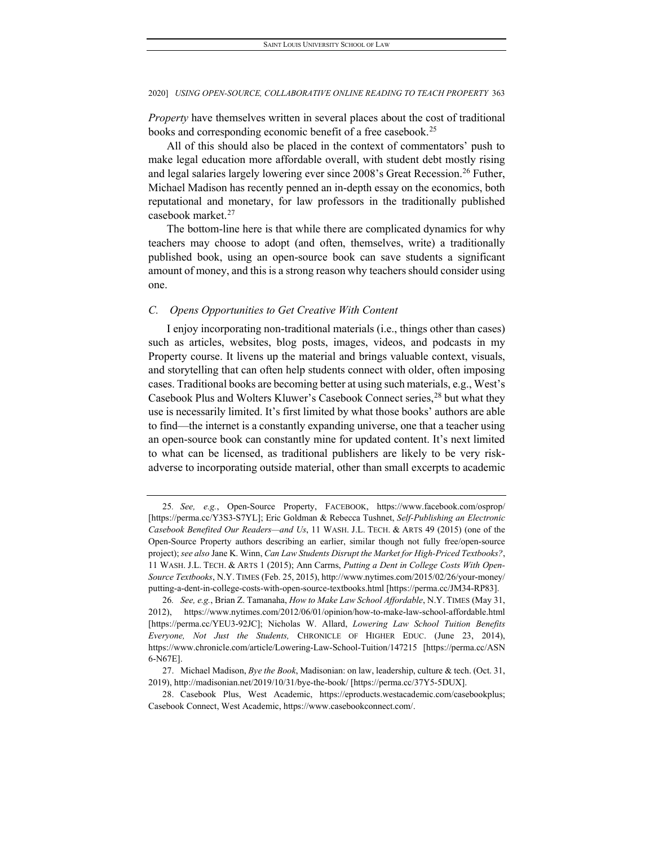*Property* have themselves written in several places about the cost of traditional books and corresponding economic benefit of a free casebook.<sup>[25](#page-9-1)</sup>

All of this should also be placed in the context of commentators' push to make legal education more affordable overall, with student debt mostly rising and legal salaries largely lowering ever since 2008's Great Recession.<sup>[26](#page-9-2)</sup> Futher, Michael Madison has recently penned an in-depth essay on the economics, both reputational and monetary, for law professors in the traditionally published casebook market.[27](#page-9-3)

The bottom-line here is that while there are complicated dynamics for why teachers may choose to adopt (and often, themselves, write) a traditionally published book, using an open-source book can save students a significant amount of money, and this is a strong reason why teachers should consider using one.

#### <span id="page-9-0"></span>*C. Opens Opportunities to Get Creative With Content*

I enjoy incorporating non-traditional materials (i.e., things other than cases) such as articles, websites, blog posts, images, videos, and podcasts in my Property course. It livens up the material and brings valuable context, visuals, and storytelling that can often help students connect with older, often imposing cases. Traditional books are becoming better at using such materials, e.g., West's Casebook Plus and Wolters Kluwer's Casebook Connect series,<sup>[28](#page-9-4)</sup> but what they use is necessarily limited. It's first limited by what those books' authors are able to find—the internet is a constantly expanding universe, one that a teacher using an open-source book can constantly mine for updated content. It's next limited to what can be licensed, as traditional publishers are likely to be very riskadverse to incorporating outside material, other than small excerpts to academic

<span id="page-9-1"></span><sup>25</sup>*. See, e.g.*, Open-Source Property, FACEBOOK, https://www.facebook.com/osprop/ [https://perma.cc/Y3S3-S7YL]; Eric Goldman & Rebecca Tushnet, *Self-Publishing an Electronic Casebook Benefited Our Readers—and Us*, 11 WASH. J.L. TECH. & ARTS 49 (2015) (one of the Open-Source Property authors describing an earlier, similar though not fully free/open-source project); *see also* Jane K. Winn, *Can Law Students Disrupt the Market for High-Priced Textbooks?*, 11 WASH. J.L. TECH. & ARTS 1 (2015); Ann Carrns, *Putting a Dent in College Costs With Open-Source Textbooks*, N.Y. TIMES (Feb. 25, 2015), http://www.nytimes.com/2015/02/26/your-money/ putting-a-dent-in-college-costs-with-open-source-textbooks.html [https://perma.cc/JM34-RP83].

<span id="page-9-2"></span><sup>26</sup>*. See, e.g.*, Brian Z. Tamanaha, *How to Make Law School Affordable*, N.Y. TIMES (May 31, 2012), https://www.nytimes.com/2012/06/01/opinion/how-to-make-law-school-affordable.html [https://perma.cc/YEU3-92JC]; Nicholas W. Allard, *Lowering Law School Tuition Benefits Everyone, Not Just the Students,* CHRONICLE OF HIGHER EDUC. (June 23, 2014), https://www.chronicle.com/article/Lowering-Law-School-Tuition/147215 [https://perma.cc/ASN 6-N67E].

<span id="page-9-3"></span><sup>27.</sup> Michael Madison, *Bye the Book*, Madisonian: on law, leadership, culture & tech. (Oct. 31, 2019), http://madisonian.net/2019/10/31/bye-the-book/ [https://perma.cc/37Y5-5DUX].

<span id="page-9-4"></span><sup>28.</sup> Casebook Plus, West Academic, https://eproducts.westacademic.com/casebookplus; Casebook Connect, West Academic, https://www.casebookconnect.com/.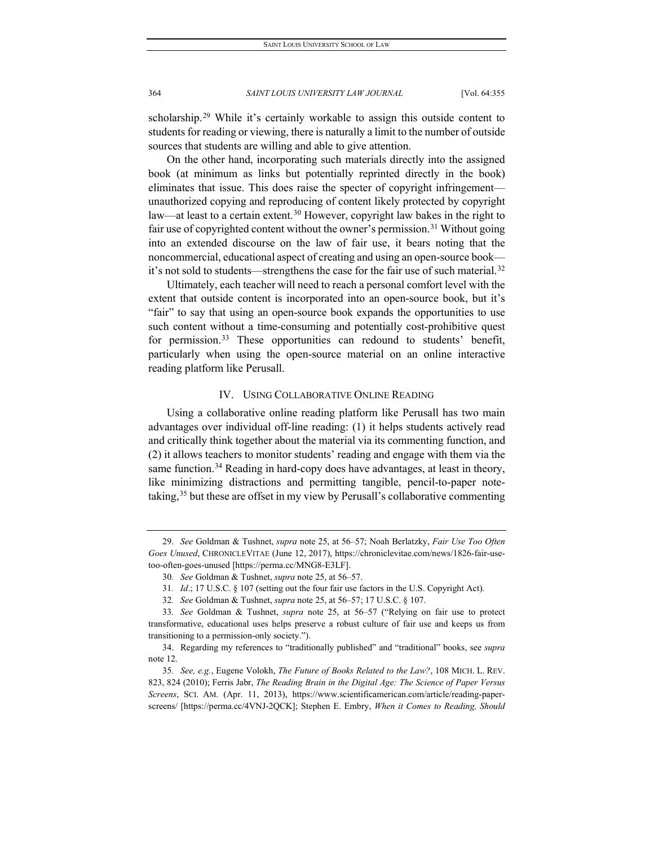scholarship.<sup>[29](#page-10-1)</sup> While it's certainly workable to assign this outside content to students for reading or viewing, there is naturally a limit to the number of outside sources that students are willing and able to give attention.

On the other hand, incorporating such materials directly into the assigned book (at minimum as links but potentially reprinted directly in the book) eliminates that issue. This does raise the specter of copyright infringement unauthorized copying and reproducing of content likely protected by copyright law—at least to a certain extent.<sup>[30](#page-10-2)</sup> However, copyright law bakes in the right to fair use of copyrighted content without the owner's permission.<sup>[31](#page-10-3)</sup> Without going into an extended discourse on the law of fair use, it bears noting that the noncommercial, educational aspect of creating and using an open-source book— it's not sold to students—strengthens the case for the fair use of such material.<sup>[32](#page-10-4)</sup>

Ultimately, each teacher will need to reach a personal comfort level with the extent that outside content is incorporated into an open-source book, but it's "fair" to say that using an open-source book expands the opportunities to use such content without a time-consuming and potentially cost-prohibitive quest for permission.<sup>[33](#page-10-5)</sup> These opportunities can redound to students' benefit, particularly when using the open-source material on an online interactive reading platform like Perusall.

#### IV. USING COLLABORATIVE ONLINE READING

<span id="page-10-0"></span>Using a collaborative online reading platform like Perusall has two main advantages over individual off-line reading: (1) it helps students actively read and critically think together about the material via its commenting function, and (2) it allows teachers to monitor students' reading and engage with them via the same function.<sup>[34](#page-10-6)</sup> Reading in hard-copy does have advantages, at least in theory, like minimizing distractions and permitting tangible, pencil-to-paper notetaking,[35](#page-10-7) but these are offset in my view by Perusall's collaborative commenting

<span id="page-10-2"></span><span id="page-10-1"></span><sup>29.</sup> *See* Goldman & Tushnet, *supra* note 25, at 56–57; Noah Berlatzky, *Fair Use Too Often Goes Unused*, CHRONICLEVITAE (June 12, 2017), https://chroniclevitae.com/news/1826-fair-usetoo-often-goes-unused [https://perma.cc/MNG8-E3LF].

<sup>30</sup>*. See* Goldman & Tushnet, *supra* note 25, at 56–57.

<sup>31</sup>*. Id*.; 17 U.S.C. § 107 (setting out the four fair use factors in the U.S. Copyright Act).

<sup>32</sup>*. See* Goldman & Tushnet, *supra* note 25, at 56–57; 17 U.S.C. § 107.

<span id="page-10-5"></span><span id="page-10-4"></span><span id="page-10-3"></span><sup>33</sup>*. See* Goldman & Tushnet, *supra* note 25, at 56–57 ("Relying on fair use to protect transformative, educational uses helps preserve a robust culture of fair use and keeps us from transitioning to a permission-only society.").

<span id="page-10-6"></span><sup>34.</sup> Regarding my references to "traditionally published" and "traditional" books, see *supra* note 12.

<span id="page-10-7"></span><sup>35</sup>*. See, e.g.*, Eugene Volokh, *The Future of Books Related to the Law?*, 108 MICH. L. REV. 823, 824 (2010); Ferris Jabr, *The Reading Brain in the Digital Age: The Science of Paper Versus Screens*, SCI. AM. (Apr. 11, 2013), https://www.scientificamerican.com/article/reading-paperscreens/ [https://perma.cc/4VNJ-2QCK]; Stephen E. Embry, *When it Comes to Reading, Should*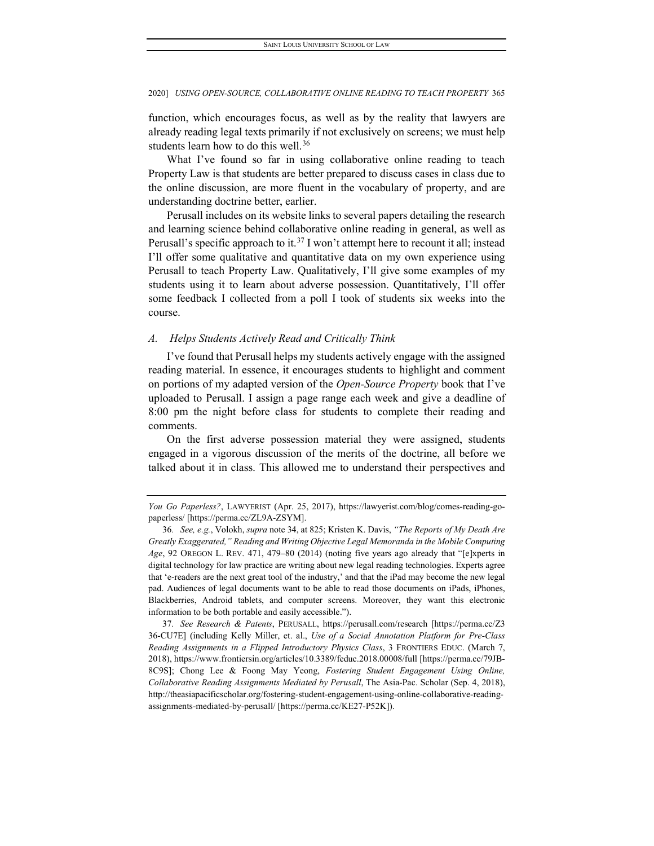function, which encourages focus, as well as by the reality that lawyers are already reading legal texts primarily if not exclusively on screens; we must help students learn how to do this well.<sup>[36](#page-11-1)</sup>

What I've found so far in using collaborative online reading to teach Property Law is that students are better prepared to discuss cases in class due to the online discussion, are more fluent in the vocabulary of property, and are understanding doctrine better, earlier.

Perusall includes on its website links to several papers detailing the research and learning science behind collaborative online reading in general, as well as Perusall's specific approach to it.<sup>[37](#page-11-2)</sup> I won't attempt here to recount it all; instead I'll offer some qualitative and quantitative data on my own experience using Perusall to teach Property Law. Qualitatively, I'll give some examples of my students using it to learn about adverse possession. Quantitatively, I'll offer some feedback I collected from a poll I took of students six weeks into the course.

#### <span id="page-11-0"></span>*A. Helps Students Actively Read and Critically Think*

I've found that Perusall helps my students actively engage with the assigned reading material. In essence, it encourages students to highlight and comment on portions of my adapted version of the *Open-Source Property* book that I've uploaded to Perusall. I assign a page range each week and give a deadline of 8:00 pm the night before class for students to complete their reading and comments.

On the first adverse possession material they were assigned, students engaged in a vigorous discussion of the merits of the doctrine, all before we talked about it in class. This allowed me to understand their perspectives and

*You Go Paperless?*, LAWYERIST (Apr. 25, 2017), https://lawyerist.com/blog/comes-reading-gopaperless/ [https://perma.cc/ZL9A-ZSYM].

<span id="page-11-1"></span><sup>36</sup>*. See, e.g.*, Volokh, *supra* note 34, at 825; Kristen K. Davis, *"The Reports of My Death Are Greatly Exaggerated," Reading and Writing Objective Legal Memoranda in the Mobile Computing Age*, 92 OREGON L. REV. 471, 479–80 (2014) (noting five years ago already that "[e]xperts in digital technology for law practice are writing about new legal reading technologies. Experts agree that 'e-readers are the next great tool of the industry,' and that the iPad may become the new legal pad. Audiences of legal documents want to be able to read those documents on iPads, iPhones, Blackberries, Android tablets, and computer screens. Moreover, they want this electronic information to be both portable and easily accessible.").

<span id="page-11-2"></span><sup>37</sup>*. See Research & Patents*, PERUSALL, https://perusall.com/research [https://perma.cc/Z3 36-CU7E] (including Kelly Miller, et. al., *Use of a Social Annotation Platform for Pre-Class Reading Assignments in a Flipped Introductory Physics Class*, 3 FRONTIERS EDUC. (March 7, 2018), https://www.frontiersin.org/articles/10.3389/feduc.2018.00008/full [https://perma.cc/79JB-8C9S]; Chong Lee & Foong May Yeong, *Fostering Student Engagement Using Online, Collaborative Reading Assignments Mediated by Perusall*, The Asia-Pac. Scholar (Sep. 4, 2018), http://theasiapacificscholar.org/fostering-student-engagement-using-online-collaborative-readingassignments-mediated-by-perusall/ [https://perma.cc/KE27-P52K]).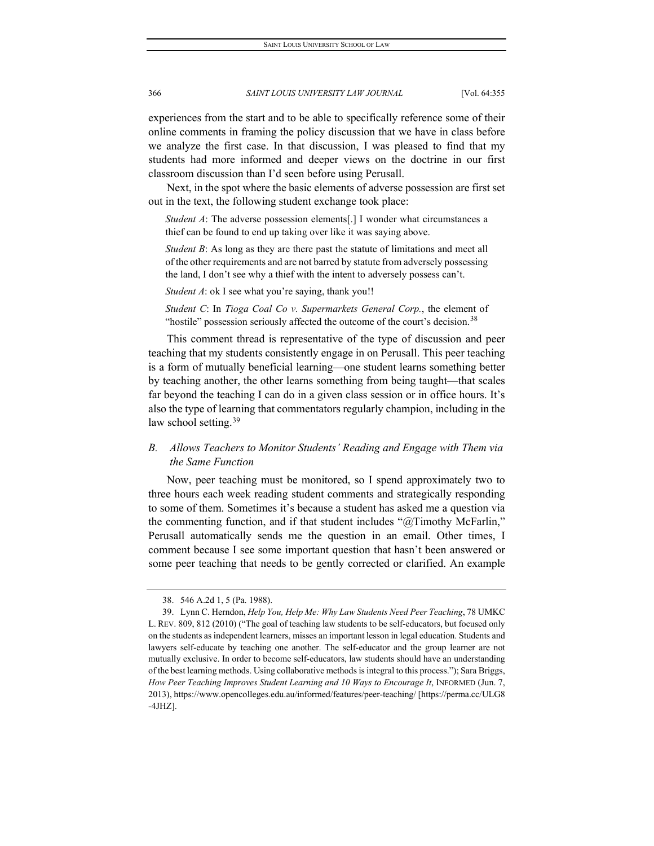experiences from the start and to be able to specifically reference some of their

online comments in framing the policy discussion that we have in class before we analyze the first case. In that discussion, I was pleased to find that my students had more informed and deeper views on the doctrine in our first classroom discussion than I'd seen before using Perusall.

Next, in the spot where the basic elements of adverse possession are first set out in the text, the following student exchange took place:

*Student A*: The adverse possession elements[.] I wonder what circumstances a thief can be found to end up taking over like it was saying above.

*Student B*: As long as they are there past the statute of limitations and meet all of the other requirements and are not barred by statute from adversely possessing the land, I don't see why a thief with the intent to adversely possess can't.

*Student A*: ok I see what you're saying, thank you!!

*Student C*: In *Tioga Coal Co v. Supermarkets General Corp.*, the element of "hostile" possession seriously affected the outcome of the court's decision.<sup>[38](#page-12-1)</sup>

This comment thread is representative of the type of discussion and peer teaching that my students consistently engage in on Perusall. This peer teaching is a form of mutually beneficial learning—one student learns something better by teaching another, the other learns something from being taught—that scales far beyond the teaching I can do in a given class session or in office hours. It's also the type of learning that commentators regularly champion, including in the law school setting.<sup>[39](#page-12-2)</sup>

## <span id="page-12-0"></span>*B. Allows Teachers to Monitor Students' Reading and Engage with Them via the Same Function*

Now, peer teaching must be monitored, so I spend approximately two to three hours each week reading student comments and strategically responding to some of them. Sometimes it's because a student has asked me a question via the commenting function, and if that student includes "@Timothy McFarlin," Perusall automatically sends me the question in an email. Other times, I comment because I see some important question that hasn't been answered or some peer teaching that needs to be gently corrected or clarified. An example

<sup>38.</sup> 546 A.2d 1, 5 (Pa. 1988).

<span id="page-12-2"></span><span id="page-12-1"></span><sup>39.</sup> Lynn C. Herndon, *Help You, Help Me: Why Law Students Need Peer Teaching*, 78 UMKC L. REV. 809, 812 (2010) ("The goal of teaching law students to be self-educators, but focused only on the students as independent learners, misses an important lesson in legal education. Students and lawyers self-educate by teaching one another. The self-educator and the group learner are not mutually exclusive. In order to become self-educators, law students should have an understanding of the best learning methods. Using collaborative methods is integral to this process."); Sara Briggs, *How Peer Teaching Improves Student Learning and 10 Ways to Encourage It*, INFORMED (Jun. 7, 2013), https://www.opencolleges.edu.au/informed/features/peer-teaching/ [https://perma.cc/ULG8 -4JHZ].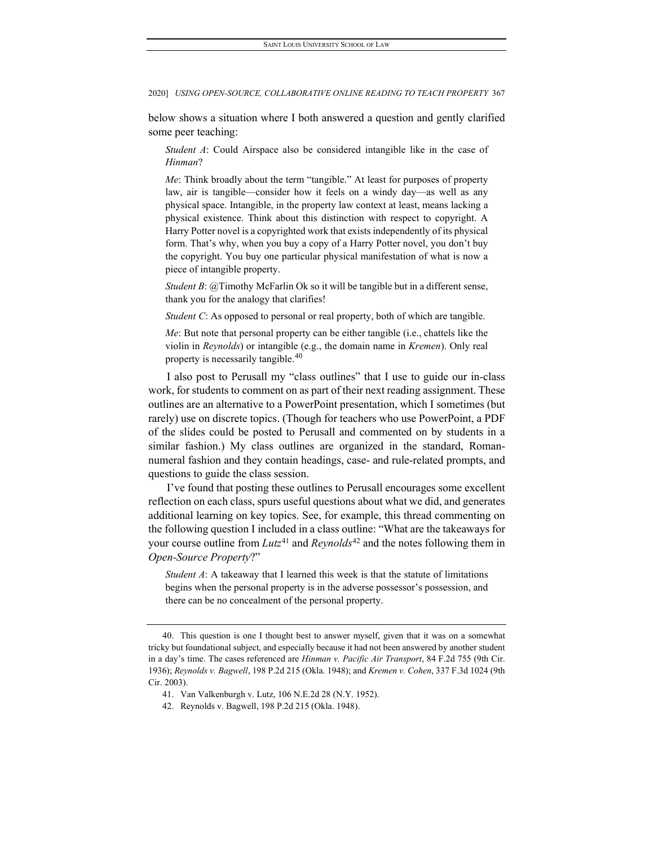below shows a situation where I both answered a question and gently clarified some peer teaching:

*Student A*: Could Airspace also be considered intangible like in the case of *Hinman*?

*Me*: Think broadly about the term "tangible." At least for purposes of property law, air is tangible—consider how it feels on a windy day—as well as any physical space. Intangible, in the property law context at least, means lacking a physical existence. Think about this distinction with respect to copyright. A Harry Potter novel is a copyrighted work that exists independently of its physical form. That's why, when you buy a copy of a Harry Potter novel, you don't buy the copyright. You buy one particular physical manifestation of what is now a piece of intangible property.

*Student B*: @Timothy McFarlin Ok so it will be tangible but in a different sense, thank you for the analogy that clarifies!

*Student C*: As opposed to personal or real property, both of which are tangible.

*Me*: But note that personal property can be either tangible (i.e., chattels like the violin in *Reynolds*) or intangible (e.g., the domain name in *Kremen*). Only real property is necessarily tangible.<sup>[40](#page-13-0)</sup>

I also post to Perusall my "class outlines" that I use to guide our in-class work, for students to comment on as part of their next reading assignment. These outlines are an alternative to a PowerPoint presentation, which I sometimes (but rarely) use on discrete topics. (Though for teachers who use PowerPoint, a PDF of the slides could be posted to Perusall and commented on by students in a similar fashion.) My class outlines are organized in the standard, Romannumeral fashion and they contain headings, case- and rule-related prompts, and questions to guide the class session.

I've found that posting these outlines to Perusall encourages some excellent reflection on each class, spurs useful questions about what we did, and generates additional learning on key topics. See, for example, this thread commenting on the following question I included in a class outline: "What are the takeaways for your course outline from *Lutz*[41](#page-13-1) and *Reynolds*[42](#page-13-2) and the notes following them in *Open-Source Property*?"

*Student A*: A takeaway that I learned this week is that the statute of limitations begins when the personal property is in the adverse possessor's possession, and there can be no concealment of the personal property.

<span id="page-13-2"></span>42. Reynolds v. Bagwell, 198 P.2d 215 (Okla. 1948).

<span id="page-13-1"></span><span id="page-13-0"></span><sup>40.</sup> This question is one I thought best to answer myself, given that it was on a somewhat tricky but foundational subject, and especially because it had not been answered by another student in a day's time. The cases referenced are *Hinman v. Pacific Air Transport*, 84 F.2d 755 (9th Cir. 1936); *Reynolds v. Bagwell*, 198 P.2d 215 (Okla. 1948); and *Kremen v. Cohen*, 337 F.3d 1024 (9th Cir. 2003).

<sup>41.</sup> Van Valkenburgh v. Lutz, 106 N.E.2d 28 (N.Y. 1952).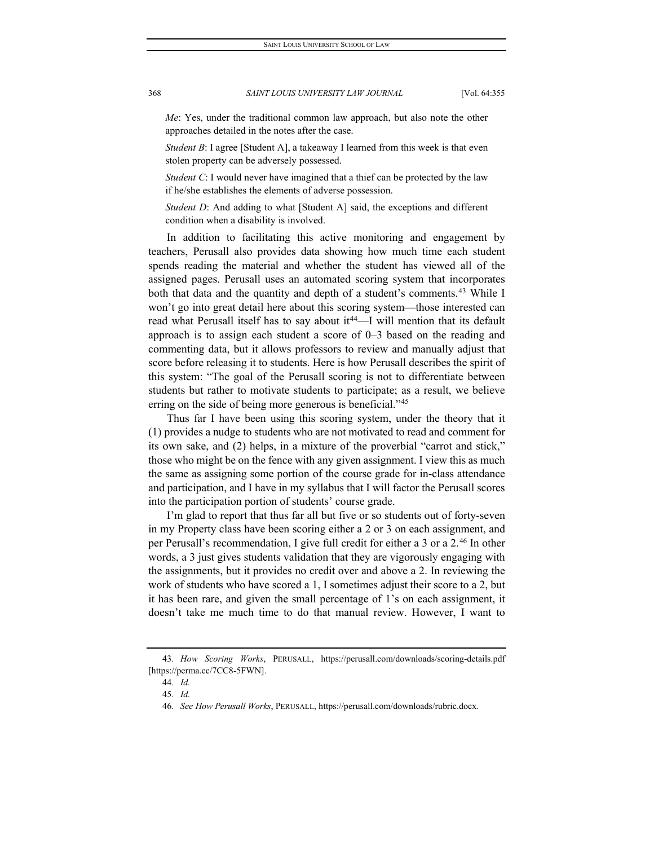*Me*: Yes, under the traditional common law approach, but also note the other approaches detailed in the notes after the case.

*Student B*: I agree [Student A], a takeaway I learned from this week is that even stolen property can be adversely possessed.

*Student C*: I would never have imagined that a thief can be protected by the law if he/she establishes the elements of adverse possession.

*Student D*: And adding to what [Student A] said, the exceptions and different condition when a disability is involved.

In addition to facilitating this active monitoring and engagement by teachers, Perusall also provides data showing how much time each student spends reading the material and whether the student has viewed all of the assigned pages. Perusall uses an automated scoring system that incorporates both that data and the quantity and depth of a student's comments.<sup>43</sup> While I won't go into great detail here about this scoring system—those interested can read what Perusall itself has to say about it<sup>44</sup>—I will mention that its default approach is to assign each student a score of 0–3 based on the reading and commenting data, but it allows professors to review and manually adjust that score before releasing it to students. Here is how Perusall describes the spirit of this system: "The goal of the Perusall scoring is not to differentiate between students but rather to motivate students to participate; as a result, we believe erring on the side of being more generous is beneficial."<sup>[45](#page-14-2)</sup>

Thus far I have been using this scoring system, under the theory that it (1) provides a nudge to students who are not motivated to read and comment for its own sake, and (2) helps, in a mixture of the proverbial "carrot and stick," those who might be on the fence with any given assignment. I view this as much the same as assigning some portion of the course grade for in-class attendance and participation, and I have in my syllabus that I will factor the Perusall scores into the participation portion of students' course grade.

I'm glad to report that thus far all but five or so students out of forty-seven in my Property class have been scoring either a 2 or 3 on each assignment, and per Perusall's recommendation, I give full credit for either a 3 or a 2.[46](#page-14-3) In other words, a 3 just gives students validation that they are vigorously engaging with the assignments, but it provides no credit over and above a 2. In reviewing the work of students who have scored a 1, I sometimes adjust their score to a 2, but it has been rare, and given the small percentage of 1's on each assignment, it doesn't take me much time to do that manual review. However, I want to

<span id="page-14-3"></span><span id="page-14-2"></span><span id="page-14-1"></span><span id="page-14-0"></span><sup>43</sup>*. How Scoring Works*, PERUSALL, https://perusall.com/downloads/scoring-details.pdf [https://perma.cc/7CC8-5FWN].

<sup>44</sup>*. Id.* 45*. Id.*

<sup>46</sup>*. See How Perusall Works*, PERUSALL, https://perusall.com/downloads/rubric.docx.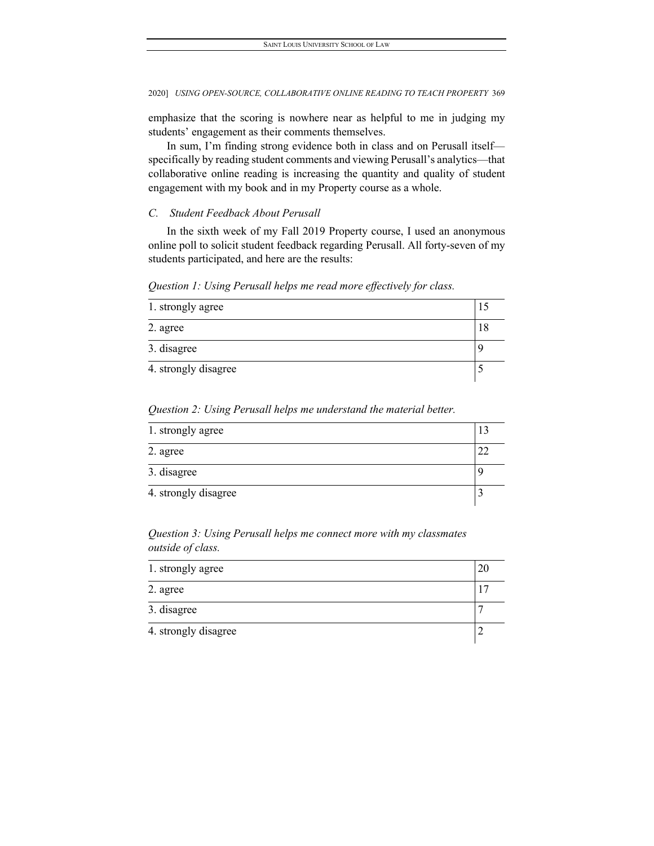emphasize that the scoring is nowhere near as helpful to me in judging my students' engagement as their comments themselves.

In sum, I'm finding strong evidence both in class and on Perusall itself specifically by reading student comments and viewing Perusall's analytics—that collaborative online reading is increasing the quantity and quality of student engagement with my book and in my Property course as a whole.

### <span id="page-15-0"></span>*C. Student Feedback About Perusall*

In the sixth week of my Fall 2019 Property course, I used an anonymous online poll to solicit student feedback regarding Perusall. All forty-seven of my students participated, and here are the results:

*Question 1: Using Perusall helps me read more effectively for class.*

| 1. strongly agree    |  |
|----------------------|--|
| 2. agree             |  |
| 3. disagree          |  |
| 4. strongly disagree |  |

*Question 2: Using Perusall helps me understand the material better.*

| 1. strongly agree    |  |
|----------------------|--|
| 2. agree             |  |
| 3. disagree          |  |
| 4. strongly disagree |  |

*Question 3: Using Perusall helps me connect more with my classmates outside of class.*

| 1. strongly agree    |  |
|----------------------|--|
| 2. agree             |  |
| 3. disagree          |  |
| 4. strongly disagree |  |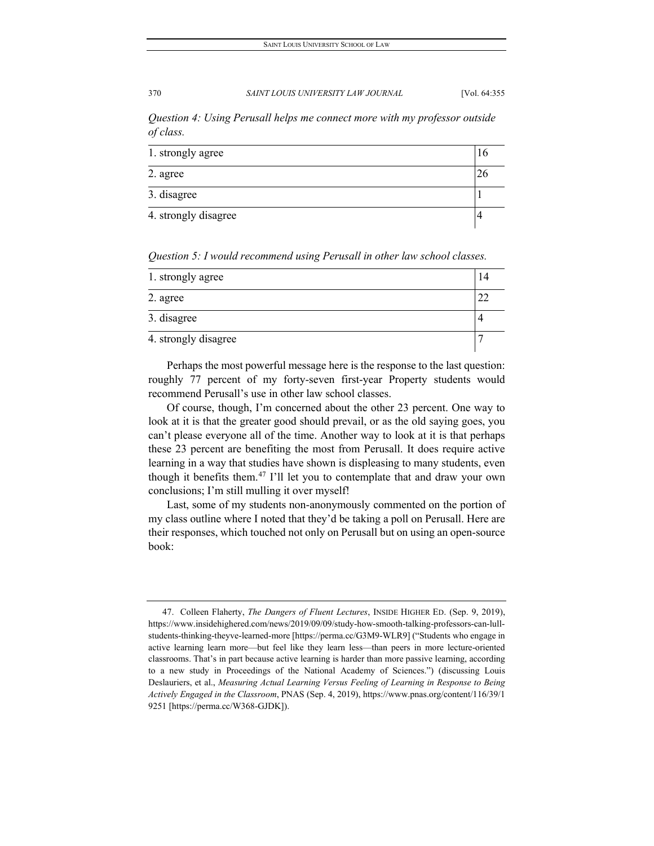*Question 4: Using Perusall helps me connect more with my professor outside of class.*

| 1. strongly agree    |  |
|----------------------|--|
| 2. agree             |  |
| 3. disagree          |  |
| 4. strongly disagree |  |

*Question 5: I would recommend using Perusall in other law school classes.*

| 1. strongly agree    |  |  |
|----------------------|--|--|
| 2. agree             |  |  |
| 3. disagree          |  |  |
| 4. strongly disagree |  |  |

Perhaps the most powerful message here is the response to the last question: roughly 77 percent of my forty-seven first-year Property students would recommend Perusall's use in other law school classes.

Of course, though, I'm concerned about the other 23 percent. One way to look at it is that the greater good should prevail, or as the old saying goes, you can't please everyone all of the time. Another way to look at it is that perhaps these 23 percent are benefiting the most from Perusall. It does require active learning in a way that studies have shown is displeasing to many students, even though it benefits them.[47](#page-16-0) I'll let you to contemplate that and draw your own conclusions; I'm still mulling it over myself!

Last, some of my students non-anonymously commented on the portion of my class outline where I noted that they'd be taking a poll on Perusall. Here are their responses, which touched not only on Perusall but on using an open-source book:

<span id="page-16-0"></span><sup>47.</sup> Colleen Flaherty, *The Dangers of Fluent Lectures*, INSIDE HIGHER ED. (Sep. 9, 2019), https://www.insidehighered.com/news/2019/09/09/study-how-smooth-talking-professors-can-lullstudents-thinking-theyve-learned-more [https://perma.cc/G3M9-WLR9] ("Students who engage in active learning learn more—but feel like they learn less—than peers in more lecture-oriented classrooms. That's in part because active learning is harder than more passive learning, according to a new study in Proceedings of the National Academy of Sciences.") (discussing Louis Deslauriers, et al., *Measuring Actual Learning Versus Feeling of Learning in Response to Being Actively Engaged in the Classroom*, PNAS (Sep. 4, 2019), https://www.pnas.org/content/116/39/1 9251 [https://perma.cc/W368-GJDK]).